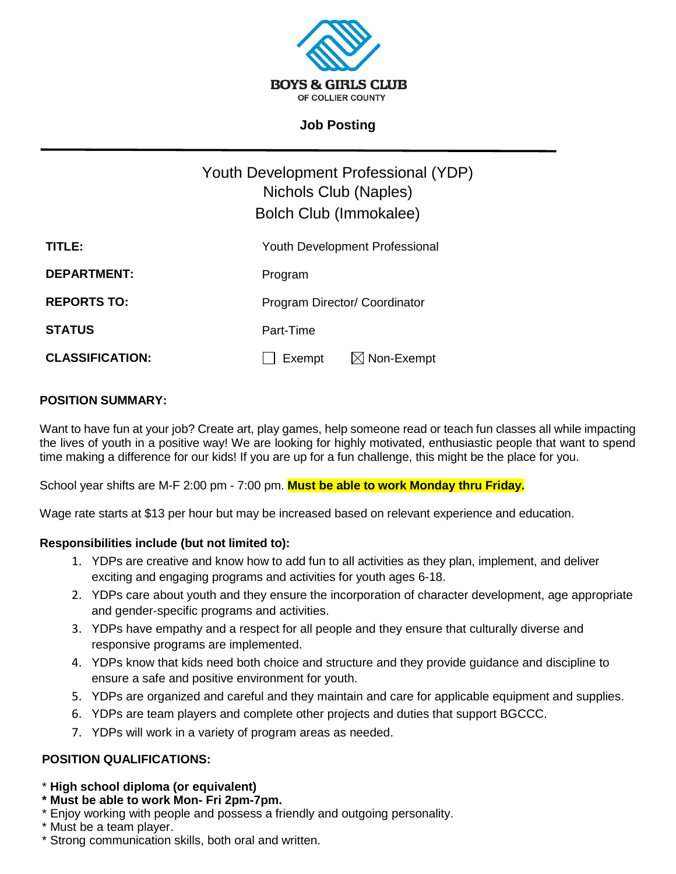

# **Job Posting**

|                        | Youth Development Professional (YDP)<br>Nichols Club (Naples)<br>Bolch Club (Immokalee) |
|------------------------|-----------------------------------------------------------------------------------------|
| TITLE:                 | <b>Youth Development Professional</b>                                                   |
| <b>DEPARTMENT:</b>     | Program                                                                                 |
| <b>REPORTS TO:</b>     | Program Director/ Coordinator                                                           |
| <b>STATUS</b>          | Part-Time                                                                               |
| <b>CLASSIFICATION:</b> | $\boxtimes$ Non-Exempt<br>Exempt                                                        |

## **POSITION SUMMARY:**

Want to have fun at your job? Create art, play games, help someone read or teach fun classes all while impacting the lives of youth in a positive way! We are looking for highly motivated, enthusiastic people that want to spend time making a difference for our kids! If you are up for a fun challenge, this might be the place for you.

School year shifts are M-F 2:00 pm - 7:00 pm. **Must be able to work Monday thru Friday.**

Wage rate starts at \$13 per hour but may be increased based on relevant experience and education.

### **Responsibilities include (but not limited to):**

- 1. YDPs are creative and know how to add fun to all activities as they plan, implement, and deliver exciting and engaging programs and activities for youth ages 6-18.
- 2. YDPs care about youth and they ensure the incorporation of character development, age appropriate and gender-specific programs and activities.
- 3. YDPs have empathy and a respect for all people and they ensure that culturally diverse and responsive programs are implemented.
- 4. YDPs know that kids need both choice and structure and they provide guidance and discipline to ensure a safe and positive environment for youth.
- 5. YDPs are organized and careful and they maintain and care for applicable equipment and supplies.
- 6. YDPs are team players and complete other projects and duties that support BGCCC.
- 7. YDPs will work in a variety of program areas as needed.

### **POSITION QUALIFICATIONS:**

### \* **High school diploma (or equivalent)**

- **\* Must be able to work Mon- Fri 2pm-7pm.**
- \* Enjoy working with people and possess a friendly and outgoing personality.
- \* Must be a team player.
- \* Strong communication skills, both oral and written.